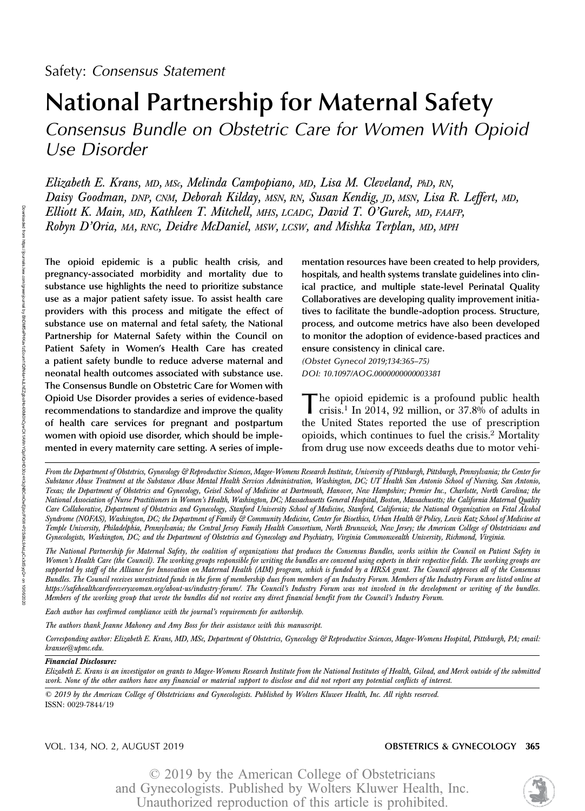# National Partnership for Maternal Safety

Consensus Bundle on Obstetric Care for Women With Opioid Use Disorder

Elizabeth E. Krans, MD, MSc, Melinda Campopiano, MD, Lisa M. Cleveland, PhD, RN, Daisy Goodman, DNP, CNM, Deborah Kilday, MSN, RN, Susan Kendig, JD, MSN, Lisa R. Leffert, MD, Elliott K. Main, MD, Kathleen T. Mitchell, MHS, LCADC, David T. O'Gurek, MD, FAAFP, Robyn D'Oria, MA, RNC, Deidre McDaniel, MSW, LCSW, and Mishka Terplan, MD, MPH

The opioid epidemic is a public health crisis, and pregnancy-associated morbidity and mortality due to substance use highlights the need to prioritize substance use as a major patient safety issue. To assist health care providers with this process and mitigate the effect of substance use on maternal and fetal safety, the National Partnership for Maternal Safety within the Council on Patient Safety in Women's Health Care has created a patient safety bundle to reduce adverse maternal and neonatal health outcomes associated with substance use. The Consensus Bundle on Obstetric Care for Women with Opioid Use Disorder provides a series of evidence-based recommendations to standardize and improve the quality of health care services for pregnant and postpartum women with opioid use disorder, which should be implemented in every maternity care setting. A series of implementation resources have been created to help providers, hospitals, and health systems translate guidelines into clinical practice, and multiple state-level Perinatal Quality Collaboratives are developing quality improvement initiatives to facilitate the bundle-adoption process. Structure, process, and outcome metrics have also been developed to monitor the adoption of evidence-based practices and ensure consistency in clinical care.

(Obstet Gynecol 2019;134:365–75) DOI: 10.1097/AOG.0000000000003381

The opioid epidemic is a profound public health crisis.<sup>1</sup> In 2014, 92 million, or 37.8% of adults in the United States reported the use of prescription opioids, which continues to fuel the crisis.<sup>2</sup> Mortality from drug use now exceeds deaths due to motor vehi-

From the Department of Obstetrics, Gynecology & Reproductive Sciences, Magee-Womens Research Institute, University of Pittsburgh, Pittsburgh, Pennsylvania; the Center for Substance Abuse Treatment at the Substance Abuse Mental Health Services Administration, Washington, DC; UT Health San Antonio School of Nursing, San Antonio, Texas; the Department of Obstetrics and Gynecology, Geisel School of Medicine at Dartmouth, Hanover, New Hampshire; Premier Inc., Charlotte, North Carolina; the National Association of Nurse Practitioners in Women's Health, Washington, DC; Massachusetts General Hospital, Boston, Massachusetts; the California Maternal Quality Care Collaborative, Department of Obstetrics and Gynecology, Stanford University School of Medicine, Stanford, California; the National Organization on Fetal Alcohol Syndrome (NOFAS), Washington, DC; the Department of Family & Community Medicine, Center for Bioethics, Urban Health & Policy, Lewis Katz School of Medicine at Temple University, Philadelphia, Pennsylvania; the Central Jersey Family Health Consortium, North Brunswick, New Jersey; the American College of Obstetricians and Gynecologists, Washington, DC; and the Department of Obstetrics and Gynecology and Psychiatry, Virginia Commonwealth University, Richmond, Virginia.

The National Partnership for Maternal Safety, the coalition of organizations that produces the Consensus Bundles, works within the Council on Patient Safety in Women's Health Care (the Council). The working groups responsible for writing the bundles are convened using experts in their respective fields. The working groups are supported by staff of the Alliance for Innovation on Maternal Health (AIM) program, which is funded by a HRSA grant. The Council approves all of the Consensus Bundles. The Council receives unrestricted funds in the form of membership dues from members of an Industry Forum. Members of the Industry Forum are listed online at <https://safehealthcareforeverywoman.org/about-us/industry-forum/>. The Council's Industry Forum was not involved in the development or writing of the bundles. Members of the working group that wrote the bundles did not receive any direct financial benefit from the Council's Industry Forum.

Each author has confirmed compliance with the journal's requirements for authorship.

The authors thank Jeanne Mahoney and Amy Boss for their assistance with this manuscript.

Corresponding author: Elizabeth E. Krans, MD, MSc, Department of Obstetrics, Gynecology & Reproductive Sciences, Magee-Womens Hospital, Pittsburgh, PA; email: kransee@upmc.edu.

Financial Disclosure:

Elizabeth E. Krans is an investigator on grants to Magee-Womens Research Institute from the National Institutes of Health, Gilead, and Merck outside of the submitted work. None of the other authors have any financial or material support to disclose and did not report any potential conflicts of interest.

© 2019 by the American College of Obstetricians and Gynecologists. Published by Wolters Kluwer Health, Inc. All rights reserved. ISSN: 0029-7844/19

#### VOL. 134, NO. 2, AUGUST 2019 OBSTETRICS & GYNECOLOGY 365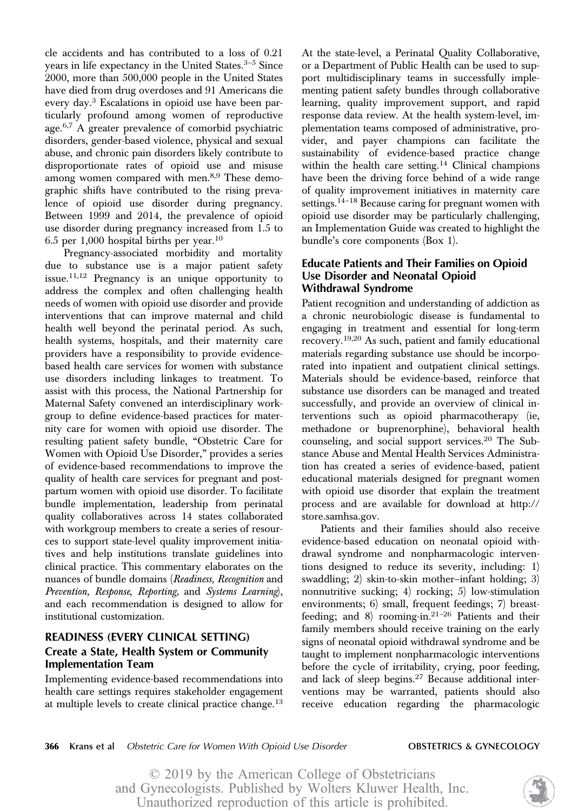cle accidents and has contributed to a loss of 0.21 years in life expectancy in the United States.<sup>3-5</sup> Since 2000, more than 500,000 people in the United States have died from drug overdoses and 91 Americans die every day.<sup>3</sup> Escalations in opioid use have been particularly profound among women of reproductive age.6,7 A greater prevalence of comorbid psychiatric disorders, gender-based violence, physical and sexual abuse, and chronic pain disorders likely contribute to disproportionate rates of opioid use and misuse among women compared with men.<sup>8,9</sup> These demographic shifts have contributed to the rising prevalence of opioid use disorder during pregnancy. Between 1999 and 2014, the prevalence of opioid use disorder during pregnancy increased from 1.5 to 6.5 per 1,000 hospital births per year.<sup>10</sup>

Pregnancy-associated morbidity and mortality due to substance use is a major patient safety issue. $11,12$  Pregnancy is an unique opportunity to address the complex and often challenging health needs of women with opioid use disorder and provide interventions that can improve maternal and child health well beyond the perinatal period. As such, health systems, hospitals, and their maternity care providers have a responsibility to provide evidencebased health care services for women with substance use disorders including linkages to treatment. To assist with this process, the National Partnership for Maternal Safety convened an interdisciplinary workgroup to define evidence-based practices for maternity care for women with opioid use disorder. The resulting patient safety bundle, "Obstetric Care for Women with Opioid Use Disorder," provides a series of evidence-based recommendations to improve the quality of health care services for pregnant and postpartum women with opioid use disorder. To facilitate bundle implementation, leadership from perinatal quality collaboratives across 14 states collaborated with workgroup members to create a series of resources to support state-level quality improvement initiatives and help institutions translate guidelines into clinical practice. This commentary elaborates on the nuances of bundle domains (Readiness, Recognition and Prevention, Response, Reporting, and Systems Learning), and each recommendation is designed to allow for institutional customization.

# READINESS (EVERY CLINICAL SETTING) Create a State, Health System or Community Implementation Team

Implementing evidence-based recommendations into health care settings requires stakeholder engagement at multiple levels to create clinical practice change.<sup>13</sup> At the state-level, a Perinatal Quality Collaborative, or a Department of Public Health can be used to support multidisciplinary teams in successfully implementing patient safety bundles through collaborative learning, quality improvement support, and rapid response data review. At the health system-level, implementation teams composed of administrative, provider, and payer champions can facilitate the sustainability of evidence-based practice change within the health care setting.<sup>14</sup> Clinical champions have been the driving force behind of a wide range of quality improvement initiatives in maternity care settings.<sup>14–18</sup> Because caring for pregnant women with opioid use disorder may be particularly challenging, an Implementation Guide was created to highlight the bundle's core components (Box 1).

# Educate Patients and Their Families on Opioid Use Disorder and Neonatal Opioid Withdrawal Syndrome

Patient recognition and understanding of addiction as a chronic neurobiologic disease is fundamental to engaging in treatment and essential for long-term recovery.19,20 As such, patient and family educational materials regarding substance use should be incorporated into inpatient and outpatient clinical settings. Materials should be evidence-based, reinforce that substance use disorders can be managed and treated successfully, and provide an overview of clinical interventions such as opioid pharmacotherapy (ie, methadone or buprenorphine), behavioral health counseling, and social support services.<sup>20</sup> The Substance Abuse and Mental Health Services Administration has created a series of evidence-based, patient educational materials designed for pregnant women with opioid use disorder that explain the treatment process and are available for download at [http://](http://store.samhsa.gov) [store.samhsa.gov.](http://store.samhsa.gov)

Patients and their families should also receive evidence-based education on neonatal opioid withdrawal syndrome and nonpharmacologic interventions designed to reduce its severity, including: 1) swaddling; 2) skin-to-skin mother–infant holding; 3) nonnutritive sucking; 4) rocking; 5) low-stimulation environments; 6) small, frequent feedings; 7) breastfeeding; and 8) rooming-in. $21-26$  Patients and their family members should receive training on the early signs of neonatal opioid withdrawal syndrome and be taught to implement nonpharmacologic interventions before the cycle of irritability, crying, poor feeding, and lack of sleep begins.<sup>27</sup> Because additional interventions may be warranted, patients should also receive education regarding the pharmacologic

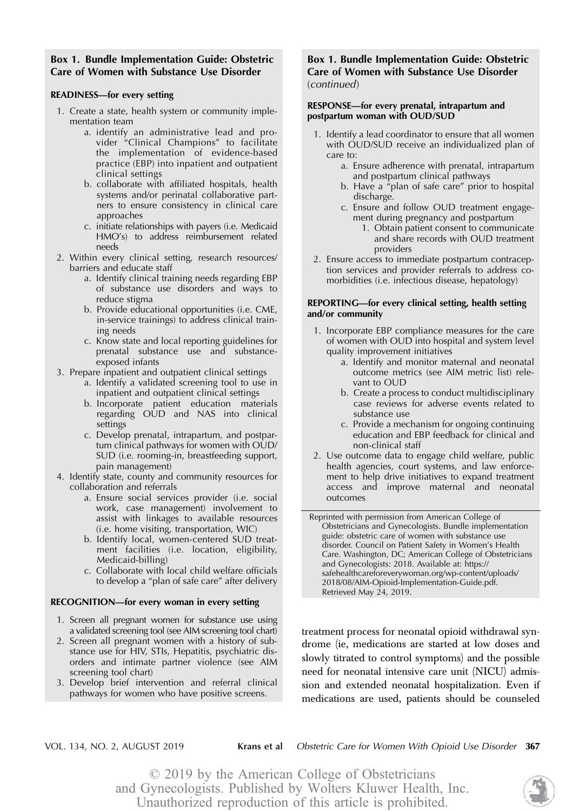# Box 1. Bundle Implementation Guide: Obstetric Care of Women with Substance Use Disorder

#### READINESS—for every setting

- 1. Create a state, health system or community implementation team
	- a. identify an administrative lead and provider "Clinical Champions" to facilitate the implementation of evidence-based practice (EBP) into inpatient and outpatient clinical settings
	- b. collaborate with affiliated hospitals, health systems and/or perinatal collaborative partners to ensure consistency in clinical care approaches
	- c. initiate relationships with payers (i.e. Medicaid HMO's) to address reimbursement related needs
- 2. Within every clinical setting, research resources/ barriers and educate staff
	- a. Identify clinical training needs regarding EBP of substance use disorders and ways to reduce stigma
	- b. Provide educational opportunities (i.e. CME, in-service trainings) to address clinical training needs
	- c. Know state and local reporting guidelines for prenatal substance use and substanceexposed infants
- 3. Prepare inpatient and outpatient clinical settings
	- a. Identify a validated screening tool to use in inpatient and outpatient clinical settings
	- b. Incorporate patient education materials regarding OUD and NAS into clinical settings
	- c. Develop prenatal, intrapartum, and postpartum clinical pathways for women with OUD/ SUD (i.e. rooming-in, breastfeeding support, pain management)
- 4. Identify state, county and community resources for collaboration and referrals
	- a. Ensure social services provider (i.e. social work, case management) involvement to assist with linkages to available resources (i.e. home visiting, transportation, WIC)
	- b. Identify local, women-centered SUD treatment facilities (i.e. location, eligibility, Medicaid-billing)
	- c. Collaborate with local child welfare officials to develop a "plan of safe care" after delivery

#### RECOGNITION—for every woman in every setting

- 1. Screen all pregnant women for substance use using a validated screening tool (see AIM screening tool chart)
- 2. Screen all pregnant women with a history of substance use for HIV, STIs, Hepatitis, psychiatric disorders and intimate partner violence (see AIM screening tool chart)
- 3. Develop brief intervention and referral clinical pathways for women who have positive screens.

### Box 1. Bundle Implementation Guide: Obstetric Care of Women with Substance Use Disorder (continued)

#### RESPONSE—for every prenatal, intrapartum and postpartum woman with OUD/SUD

- 1. Identify a lead coordinator to ensure that all women with OUD/SUD receive an individualized plan of care to:
	- a. Ensure adherence with prenatal, intrapartum and postpartum clinical pathways
	- b. Have a "plan of safe care" prior to hospital discharge.
	- c. Ensure and follow OUD treatment engagement during pregnancy and postpartum
		- 1. Obtain patient consent to communicate and share records with OUD treatment providers
- 2. Ensure access to immediate postpartum contraception services and provider referrals to address comorbidities (i.e. infectious disease, hepatology)

#### REPORTING—for every clinical setting, health setting and/or community

- 1. Incorporate EBP compliance measures for the care of women with OUD into hospital and system level quality improvement initiatives
	- a. Identify and monitor maternal and neonatal outcome metrics (see AIM metric list) relevant to OUD
	- b. Create a process to conduct multidisciplinary case reviews for adverse events related to substance use
	- c. Provide a mechanism for ongoing continuing education and EBP feedback for clinical and non-clinical staff
- 2. Use outcome data to engage child welfare, public health agencies, court systems, and law enforcement to help drive initiatives to expand treatment access and improve maternal and neonatal outcomes

Reprinted with permission from American College of Obstetricians and Gynecologists. Bundle implementation guide: obstetric care of women with substance use disorder. Council on Patient Safety in Women's Health Care. Washington, DC; American College of Obstetricians and Gynecologists: 2018. Available at: [https://](https://safehealthcareforeverywoman.org/wp-content/uploads/2018/08/AIM-Opioid-Implementation-Guide.pdf) [safehealthcareforeverywoman.org/wp-content/uploads/](https://safehealthcareforeverywoman.org/wp-content/uploads/2018/08/AIM-Opioid-Implementation-Guide.pdf) [2018/08/AIM-Opioid-Implementation-Guide.pdf](https://safehealthcareforeverywoman.org/wp-content/uploads/2018/08/AIM-Opioid-Implementation-Guide.pdf). Retrieved May 24, 2019.

treatment process for neonatal opioid withdrawal syndrome (ie, medications are started at low doses and slowly titrated to control symptoms) and the possible need for neonatal intensive care unit (NICU) admission and extended neonatal hospitalization. Even if medications are used, patients should be counseled

VOL. 134, NO. 2, AUGUST 2019 Krans et al Obstetric Care for Women With Opioid Use Disorder 367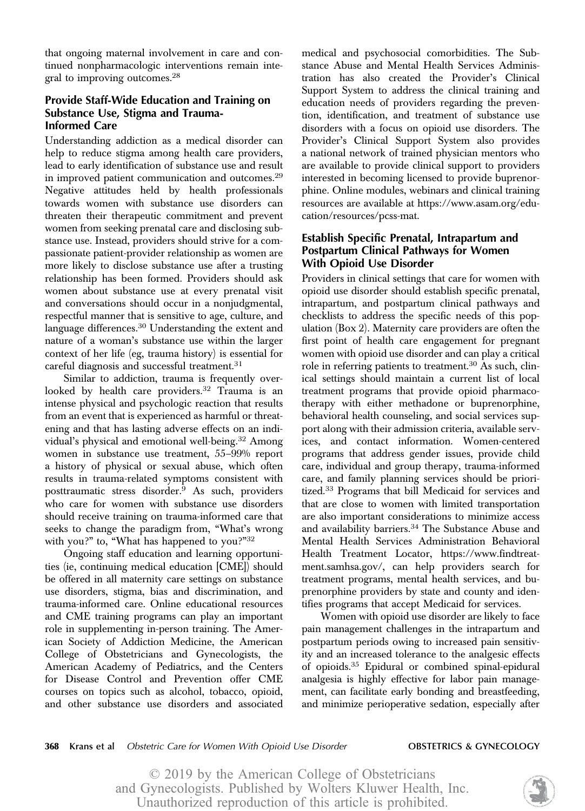that ongoing maternal involvement in care and continued nonpharmacologic interventions remain integral to improving outcomes.28

# Provide Staff-Wide Education and Training on Substance Use, Stigma and Trauma-Informed Care

Understanding addiction as a medical disorder can help to reduce stigma among health care providers, lead to early identification of substance use and result in improved patient communication and outcomes.<sup>29</sup> Negative attitudes held by health professionals towards women with substance use disorders can threaten their therapeutic commitment and prevent women from seeking prenatal care and disclosing substance use. Instead, providers should strive for a compassionate patient-provider relationship as women are more likely to disclose substance use after a trusting relationship has been formed. Providers should ask women about substance use at every prenatal visit and conversations should occur in a nonjudgmental, respectful manner that is sensitive to age, culture, and language differences.<sup>30</sup> Understanding the extent and nature of a woman's substance use within the larger context of her life (eg, trauma history) is essential for careful diagnosis and successful treatment.31

Similar to addiction, trauma is frequently overlooked by health care providers.<sup>32</sup> Trauma is an intense physical and psychologic reaction that results from an event that is experienced as harmful or threatening and that has lasting adverse effects on an individual's physical and emotional well-being.<sup>32</sup> Among women in substance use treatment, 55–99% report a history of physical or sexual abuse, which often results in trauma-related symptoms consistent with posttraumatic stress disorder.<sup>9</sup> As such, providers who care for women with substance use disorders should receive training on trauma-informed care that seeks to change the paradigm from, "What's wrong with you?" to, "What has happened to you?"<sup>32</sup>

Ongoing staff education and learning opportunities (ie, continuing medical education [CME]) should be offered in all maternity care settings on substance use disorders, stigma, bias and discrimination, and trauma-informed care. Online educational resources and CME training programs can play an important role in supplementing in-person training. The American Society of Addiction Medicine, the American College of Obstetricians and Gynecologists, the American Academy of Pediatrics, and the Centers for Disease Control and Prevention offer CME courses on topics such as alcohol, tobacco, opioid, and other substance use disorders and associated

medical and psychosocial comorbidities. The Substance Abuse and Mental Health Services Administration has also created the Provider's Clinical Support System to address the clinical training and education needs of providers regarding the prevention, identification, and treatment of substance use disorders with a focus on opioid use disorders. The Provider's Clinical Support System also provides a national network of trained physician mentors who are available to provide clinical support to providers interested in becoming licensed to provide buprenorphine. Online modules, webinars and clinical training resources are available at [https://www.asam.org/edu](https://www.asam.org/education/resources/pcss-mat)[cation/resources/pcss-mat.](https://www.asam.org/education/resources/pcss-mat)

# Establish Specific Prenatal, Intrapartum and Postpartum Clinical Pathways for Women With Opioid Use Disorder

Providers in clinical settings that care for women with opioid use disorder should establish specific prenatal, intrapartum, and postpartum clinical pathways and checklists to address the specific needs of this population (Box 2). Maternity care providers are often the first point of health care engagement for pregnant women with opioid use disorder and can play a critical role in referring patients to treatment.<sup>30</sup> As such, clinical settings should maintain a current list of local treatment programs that provide opioid pharmacotherapy with either methadone or buprenorphine, behavioral health counseling, and social services support along with their admission criteria, available services, and contact information. Women-centered programs that address gender issues, provide child care, individual and group therapy, trauma-informed care, and family planning services should be prioritized.<sup>33</sup> Programs that bill Medicaid for services and that are close to women with limited transportation are also important considerations to minimize access and availability barriers.<sup>34</sup> The Substance Abuse and Mental Health Services Administration Behavioral Health Treatment Locator, [https://www.findtreat](https://www.findtreatment.samhsa.gov/)[ment.samhsa.gov/,](https://www.findtreatment.samhsa.gov/) can help providers search for treatment programs, mental health services, and buprenorphine providers by state and county and identifies programs that accept Medicaid for services.

Women with opioid use disorder are likely to face pain management challenges in the intrapartum and postpartum periods owing to increased pain sensitivity and an increased tolerance to the analgesic effects of opioids.<sup>35</sup> Epidural or combined spinal-epidural analgesia is highly effective for labor pain management, can facilitate early bonding and breastfeeding, and minimize perioperative sedation, especially after

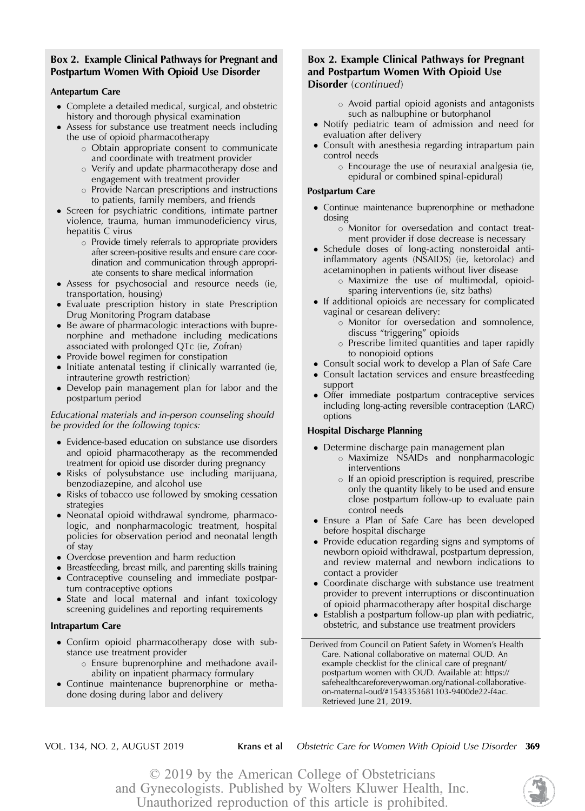# Box 2. Example Clinical Pathways for Pregnant and Postpartum Women With Opioid Use Disorder

### Antepartum Care

- Complete a detailed medical, surgical, and obstetric history and thorough physical examination
- Assess for substance use treatment needs including the use of opioid pharmacotherapy
	- $\circ$  Obtain appropriate consent to communicate and coordinate with treatment provider
	- $\circ$  Verify and update pharmacotherapy dose and engagement with treatment provider
	- $\circ$  Provide Narcan prescriptions and instructions to patients, family members, and friends
- Screen for psychiatric conditions, intimate partner violence, trauma, human immunodeficiency virus, hepatitis C virus
	- $\circ$  Provide timely referrals to appropriate providers after screen-positive results and ensure care coordination and communication through appropriate consents to share medical information
- Assess for psychosocial and resource needs (ie, transportation, housing)
- Evaluate prescription history in state Prescription Drug Monitoring Program database
- Be aware of pharmacologic interactions with buprenorphine and methadone including medications associated with prolonged QTc (ie, Zofran)
- Provide bowel regimen for constipation
- Initiate antenatal testing if clinically warranted (ie, intrauterine growth restriction)
- Develop pain management plan for labor and the postpartum period

#### Educational materials and in-person counseling should be provided for the following topics:

- Evidence-based education on substance use disorders and opioid pharmacotherapy as the recommended treatment for opioid use disorder during pregnancy
- Risks of polysubstance use including marijuana, benzodiazepine, and alcohol use
- Risks of tobacco use followed by smoking cessation strategies
- Neonatal opioid withdrawal syndrome, pharmacologic, and nonpharmacologic treatment, hospital policies for observation period and neonatal length of stay
- Overdose prevention and harm reduction
- Breastfeeding, breast milk, and parenting skills training
- Contraceptive counseling and immediate postpartum contraceptive options
- State and local maternal and infant toxicology screening guidelines and reporting requirements

#### Intrapartum Care

- Confirm opioid pharmacotherapy dose with substance use treatment provider
	- $\circ$  Ensure buprenorphine and methadone availability on inpatient pharmacy formulary
- Continue maintenance buprenorphine or methadone dosing during labor and delivery

# Box 2. Example Clinical Pathways for Pregnant and Postpartum Women With Opioid Use Disorder (continued)

- $\circ$  Avoid partial opioid agonists and antagonists such as nalbuphine or butorphanol
- Notify pediatric team of admission and need for evaluation after delivery
- Consult with anesthesia regarding intrapartum pain control needs
	- $\circ$  Encourage the use of neuraxial analgesia (ie, epidural or combined spinal-epidural)

#### Postpartum Care

 Continue maintenance buprenorphine or methadone dosing

o Monitor for oversedation and contact treatment provider if dose decrease is necessary

 Schedule doses of long-acting nonsteroidal antiinflammatory agents (NSAIDS) (ie, ketorolac) and acetaminophen in patients without liver disease

o Maximize the use of multimodal, opioidsparing interventions (ie, sitz baths)

- If additional opioids are necessary for complicated vaginal or cesarean delivery:
	- $\circ$  Monitor for oversedation and somnolence, discuss "triggering" opioids
	- $\circ$  Prescribe limited quantities and taper rapidly to nonopioid options
- Consult social work to develop a Plan of Safe Care
- Consult lactation services and ensure breastfeeding support
- Offer immediate postpartum contraceptive services including long-acting reversible contraception (LARC) options

### Hospital Discharge Planning

- Determine discharge pain management plan
	- o Maximize NSAIDs and nonpharmacologic interventions
	- $\circ$  If an opioid prescription is required, prescribe only the quantity likely to be used and ensure close postpartum follow-up to evaluate pain control needs
- Ensure a Plan of Safe Care has been developed before hospital discharge
- Provide education regarding signs and symptoms of newborn opioid withdrawal, postpartum depression, and review maternal and newborn indications to contact a provider
- Coordinate discharge with substance use treatment provider to prevent interruptions or discontinuation of opioid pharmacotherapy after hospital discharge
- Establish a postpartum follow-up plan with pediatric, obstetric, and substance use treatment providers

Derived from Council on Patient Safety in Women's Health Care. National collaborative on maternal OUD. An example checklist for the clinical care of pregnant/ postpartum women with OUD. Available at: [https://](https://safehealthcareforeverywoman.org/national-collaborative-on-maternal-oud/#1543353681103-9400de22-f4ac) [safehealthcareforeverywoman.org/national-collaborative](https://safehealthcareforeverywoman.org/national-collaborative-on-maternal-oud/#1543353681103-9400de22-f4ac)[on-maternal-oud/#1543353681103-9400de22-f4ac.](https://safehealthcareforeverywoman.org/national-collaborative-on-maternal-oud/#1543353681103-9400de22-f4ac) Retrieved June 21, 2019.

VOL. 134, NO. 2, AUGUST 2019 Krans et al Obstetric Care for Women With Opioid Use Disorder 369

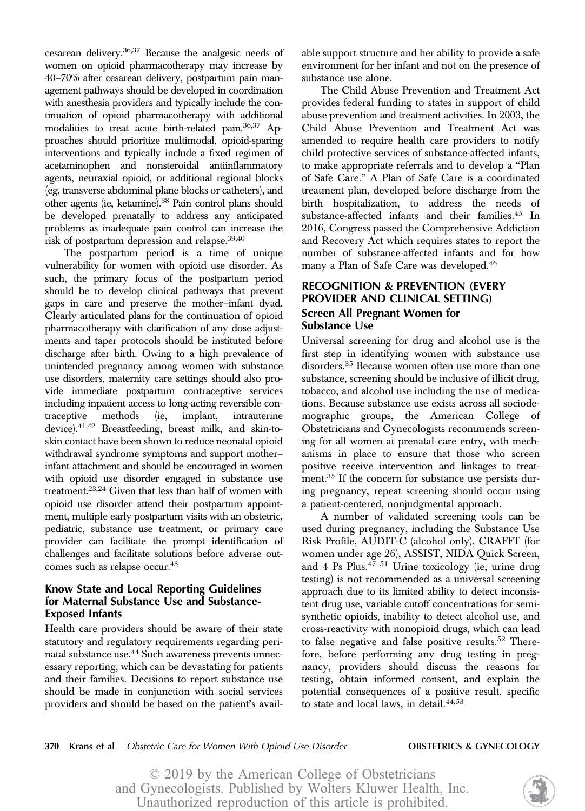cesarean delivery.36,37 Because the analgesic needs of women on opioid pharmacotherapy may increase by 40–70% after cesarean delivery, postpartum pain management pathways should be developed in coordination with anesthesia providers and typically include the continuation of opioid pharmacotherapy with additional modalities to treat acute birth-related pain.36,37 Approaches should prioritize multimodal, opioid-sparing interventions and typically include a fixed regimen of acetaminophen and nonsteroidal antiinflammatory agents, neuraxial opioid, or additional regional blocks (eg, transverse abdominal plane blocks or catheters), and other agents (ie, ketamine).38 Pain control plans should be developed prenatally to address any anticipated problems as inadequate pain control can increase the risk of postpartum depression and relapse.39,40

The postpartum period is a time of unique vulnerability for women with opioid use disorder. As such, the primary focus of the postpartum period should be to develop clinical pathways that prevent gaps in care and preserve the mother–infant dyad. Clearly articulated plans for the continuation of opioid pharmacotherapy with clarification of any dose adjustments and taper protocols should be instituted before discharge after birth. Owing to a high prevalence of unintended pregnancy among women with substance use disorders, maternity care settings should also provide immediate postpartum contraceptive services including inpatient access to long-acting reversible contraceptive methods (ie, implant, intrauterine device).41,42 Breastfeeding, breast milk, and skin-toskin contact have been shown to reduce neonatal opioid withdrawal syndrome symptoms and support mother– infant attachment and should be encouraged in women with opioid use disorder engaged in substance use treatment.23,24 Given that less than half of women with opioid use disorder attend their postpartum appointment, multiple early postpartum visits with an obstetric, pediatric, substance use treatment, or primary care provider can facilitate the prompt identification of challenges and facilitate solutions before adverse outcomes such as relapse occur.<sup>43</sup>

# Know State and Local Reporting Guidelines for Maternal Substance Use and Substance-Exposed Infants

Health care providers should be aware of their state statutory and regulatory requirements regarding perinatal substance use.<sup>44</sup> Such awareness prevents unnecessary reporting, which can be devastating for patients and their families. Decisions to report substance use should be made in conjunction with social services providers and should be based on the patient's available support structure and her ability to provide a safe environment for her infant and not on the presence of substance use alone.

The Child Abuse Prevention and Treatment Act provides federal funding to states in support of child abuse prevention and treatment activities. In 2003, the Child Abuse Prevention and Treatment Act was amended to require health care providers to notify child protective services of substance-affected infants, to make appropriate referrals and to develop a "Plan of Safe Care." A Plan of Safe Care is a coordinated treatment plan, developed before discharge from the birth hospitalization, to address the needs of substance-affected infants and their families.<sup>45</sup> In 2016, Congress passed the Comprehensive Addiction and Recovery Act which requires states to report the number of substance-affected infants and for how many a Plan of Safe Care was developed.<sup>46</sup>

# RECOGNITION & PREVENTION (EVERY PROVIDER AND CLINICAL SETTING) Screen All Pregnant Women for Substance Use

Universal screening for drug and alcohol use is the first step in identifying women with substance use disorders.<sup>35</sup> Because women often use more than one substance, screening should be inclusive of illicit drug, tobacco, and alcohol use including the use of medications. Because substance use exists across all sociodemographic groups, the American College of Obstetricians and Gynecologists recommends screening for all women at prenatal care entry, with mechanisms in place to ensure that those who screen positive receive intervention and linkages to treatment.<sup>35</sup> If the concern for substance use persists during pregnancy, repeat screening should occur using a patient-centered, nonjudgmental approach.

A number of validated screening tools can be used during pregnancy, including the Substance Use Risk Profile, AUDIT-C (alcohol only), CRAFFT (for women under age 26), ASSIST, NIDA Quick Screen, and 4 Ps Plus. $4^{7}-51$  Urine toxicology (ie, urine drug testing) is not recommended as a universal screening approach due to its limited ability to detect inconsistent drug use, variable cutoff concentrations for semisynthetic opioids, inability to detect alcohol use, and cross-reactivity with nonopioid drugs, which can lead to false negative and false positive results. $52$  Therefore, before performing any drug testing in pregnancy, providers should discuss the reasons for testing, obtain informed consent, and explain the potential consequences of a positive result, specific to state and local laws, in detail.<sup>44,53</sup>

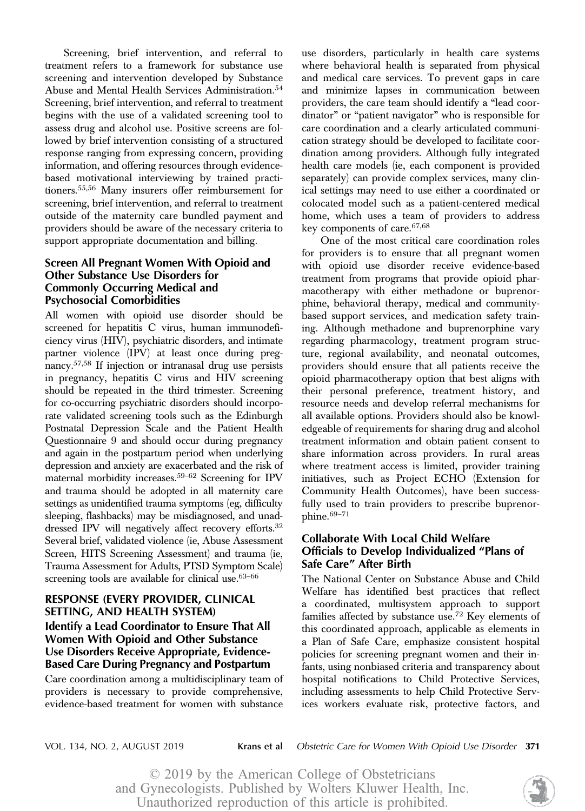Screening, brief intervention, and referral to treatment refers to a framework for substance use screening and intervention developed by Substance Abuse and Mental Health Services Administration.<sup>54</sup> Screening, brief intervention, and referral to treatment begins with the use of a validated screening tool to assess drug and alcohol use. Positive screens are followed by brief intervention consisting of a structured response ranging from expressing concern, providing information, and offering resources through evidencebased motivational interviewing by trained practitioners.55,56 Many insurers offer reimbursement for screening, brief intervention, and referral to treatment outside of the maternity care bundled payment and providers should be aware of the necessary criteria to support appropriate documentation and billing.

# Screen All Pregnant Women With Opioid and Other Substance Use Disorders for Commonly Occurring Medical and Psychosocial Comorbidities

All women with opioid use disorder should be screened for hepatitis C virus, human immunodeficiency virus (HIV), psychiatric disorders, and intimate partner violence (IPV) at least once during pregnancy.57,58 If injection or intranasal drug use persists in pregnancy, hepatitis C virus and HIV screening should be repeated in the third trimester. Screening for co-occurring psychiatric disorders should incorporate validated screening tools such as the Edinburgh Postnatal Depression Scale and the Patient Health Questionnaire 9 and should occur during pregnancy and again in the postpartum period when underlying depression and anxiety are exacerbated and the risk of maternal morbidity increases.59–<sup>62</sup> Screening for IPV and trauma should be adopted in all maternity care settings as unidentified trauma symptoms (eg, difficulty sleeping, flashbacks) may be misdiagnosed, and unaddressed IPV will negatively affect recovery efforts.<sup>32</sup> Several brief, validated violence (ie, Abuse Assessment Screen, HITS Screening Assessment) and trauma (ie, Trauma Assessment for Adults, PTSD Symptom Scale) screening tools are available for clinical use.<sup>63-66</sup>

# RESPONSE (EVERY PROVIDER, CLINICAL SETTING, AND HEALTH SYSTEM) Identify a Lead Coordinator to Ensure That All Women With Opioid and Other Substance Use Disorders Receive Appropriate, Evidence-Based Care During Pregnancy and Postpartum

Care coordination among a multidisciplinary team of providers is necessary to provide comprehensive, evidence-based treatment for women with substance

use disorders, particularly in health care systems where behavioral health is separated from physical and medical care services. To prevent gaps in care and minimize lapses in communication between providers, the care team should identify a "lead coordinator" or "patient navigator" who is responsible for care coordination and a clearly articulated communication strategy should be developed to facilitate coordination among providers. Although fully integrated health care models (ie, each component is provided separately) can provide complex services, many clinical settings may need to use either a coordinated or colocated model such as a patient-centered medical home, which uses a team of providers to address key components of care.67,68

One of the most critical care coordination roles for providers is to ensure that all pregnant women with opioid use disorder receive evidence-based treatment from programs that provide opioid pharmacotherapy with either methadone or buprenorphine, behavioral therapy, medical and communitybased support services, and medication safety training. Although methadone and buprenorphine vary regarding pharmacology, treatment program structure, regional availability, and neonatal outcomes, providers should ensure that all patients receive the opioid pharmacotherapy option that best aligns with their personal preference, treatment history, and resource needs and develop referral mechanisms for all available options. Providers should also be knowledgeable of requirements for sharing drug and alcohol treatment information and obtain patient consent to share information across providers. In rural areas where treatment access is limited, provider training initiatives, such as Project ECHO (Extension for Community Health Outcomes), have been successfully used to train providers to prescribe buprenorphine. $69-71$ 

# Collaborate With Local Child Welfare Officials to Develop Individualized "Plans of Safe Care" After Birth

The National Center on Substance Abuse and Child Welfare has identified best practices that reflect a coordinated, multisystem approach to support families affected by substance use.<sup>72</sup> Key elements of this coordinated approach, applicable as elements in a Plan of Safe Care, emphasize consistent hospital policies for screening pregnant women and their infants, using nonbiased criteria and transparency about hospital notifications to Child Protective Services, including assessments to help Child Protective Services workers evaluate risk, protective factors, and

VOL. 134, NO. 2, AUGUST 2019 Krans et al Obstetric Care for Women With Opioid Use Disorder 371

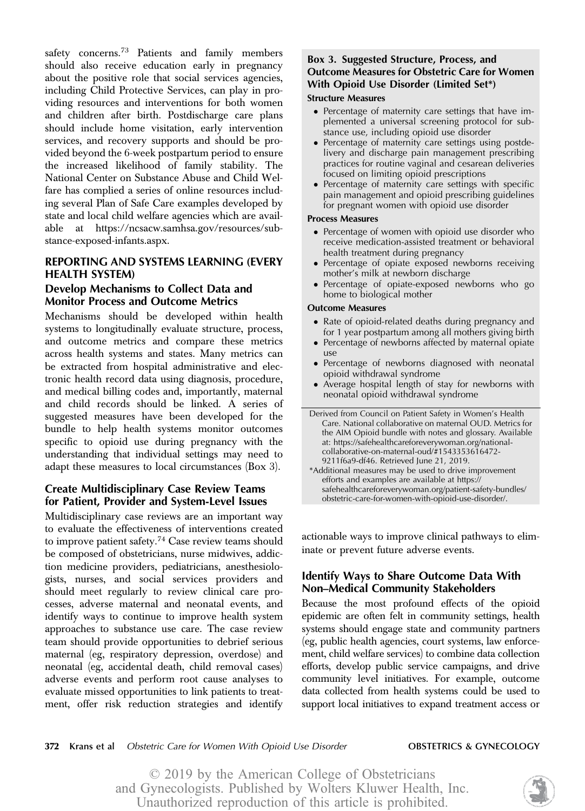safety concerns.<sup>73</sup> Patients and family members should also receive education early in pregnancy about the positive role that social services agencies, including Child Protective Services, can play in providing resources and interventions for both women and children after birth. Postdischarge care plans should include home visitation, early intervention services, and recovery supports and should be provided beyond the 6-week postpartum period to ensure the increased likelihood of family stability. The National Center on Substance Abuse and Child Welfare has complied a series of online resources including several Plan of Safe Care examples developed by state and local child welfare agencies which are available at [https://ncsacw.samhsa.gov/resources/sub](https://ncsacw.samhsa.gov/resources/substance-exposed-infants.aspx)[stance-exposed-infants.aspx](https://ncsacw.samhsa.gov/resources/substance-exposed-infants.aspx).

# REPORTING AND SYSTEMS LEARNING (EVERY HEALTH SYSTEM)

# Develop Mechanisms to Collect Data and Monitor Process and Outcome Metrics

Mechanisms should be developed within health systems to longitudinally evaluate structure, process, and outcome metrics and compare these metrics across health systems and states. Many metrics can be extracted from hospital administrative and electronic health record data using diagnosis, procedure, and medical billing codes and, importantly, maternal and child records should be linked. A series of suggested measures have been developed for the bundle to help health systems monitor outcomes specific to opioid use during pregnancy with the understanding that individual settings may need to adapt these measures to local circumstances (Box 3).

# Create Multidisciplinary Case Review Teams for Patient, Provider and System-Level Issues

Multidisciplinary case reviews are an important way to evaluate the effectiveness of interventions created to improve patient safety.<sup>74</sup> Case review teams should be composed of obstetricians, nurse midwives, addiction medicine providers, pediatricians, anesthesiologists, nurses, and social services providers and should meet regularly to review clinical care processes, adverse maternal and neonatal events, and identify ways to continue to improve health system approaches to substance use care. The case review team should provide opportunities to debrief serious maternal (eg, respiratory depression, overdose) and neonatal (eg, accidental death, child removal cases) adverse events and perform root cause analyses to evaluate missed opportunities to link patients to treatment, offer risk reduction strategies and identify

# Box 3. Suggested Structure, Process, and Outcome Measures for Obstetric Care for Women With Opioid Use Disorder (Limited Set\*) Structure Measures

- Percentage of maternity care settings that have implemented a universal screening protocol for substance use, including opioid use disorder
- Percentage of maternity care settings using postdelivery and discharge pain management prescribing practices for routine vaginal and cesarean deliveries focused on limiting opioid prescriptions
- Percentage of maternity care settings with specific pain management and opioid prescribing guidelines for pregnant women with opioid use disorder

### Process Measures

- Percentage of women with opioid use disorder who receive medication-assisted treatment or behavioral health treatment during pregnancy
- Percentage of opiate exposed newborns receiving mother's milk at newborn discharge
- Percentage of opiate-exposed newborns who go home to biological mother

### Outcome Measures

- Rate of opioid-related deaths during pregnancy and for 1 year postpartum among all mothers giving birth
- Percentage of newborns affected by maternal opiate use
- Percentage of newborns diagnosed with neonatal opioid withdrawal syndrome
- Average hospital length of stay for newborns with neonatal opioid withdrawal syndrome

Derived from Council on Patient Safety in Women's Health Care. National collaborative on maternal OUD. Metrics for the AIM Opioid bundle with notes and glossary. Available at: [https://safehealthcareforeverywoman.org/national](https://safehealthcareforeverywoman.org/national-collaborative-on-maternal-oud/#1543353616472-9211f6a9-df46)[collaborative-on-maternal-oud/#1543353616472-](https://safehealthcareforeverywoman.org/national-collaborative-on-maternal-oud/#1543353616472-9211f6a9-df46) [9211f6a9-df46.](https://safehealthcareforeverywoman.org/national-collaborative-on-maternal-oud/#1543353616472-9211f6a9-df46) Retrieved June 21, 2019.

\*Additional measures may be used to drive improvement efforts and examples are available at [https://](https://safehealthcareforeverywoman.org/patient-safety-bundles/obstetric-care-for-women-with-opioid-use-disorder/) [safehealthcareforeverywoman.org/patient-safety-bundles/](https://safehealthcareforeverywoman.org/patient-safety-bundles/obstetric-care-for-women-with-opioid-use-disorder/) [obstetric-care-for-women-with-opioid-use-disorder/](https://safehealthcareforeverywoman.org/patient-safety-bundles/obstetric-care-for-women-with-opioid-use-disorder/).

actionable ways to improve clinical pathways to eliminate or prevent future adverse events.

# Identify Ways to Share Outcome Data With Non–Medical Community Stakeholders

Because the most profound effects of the opioid epidemic are often felt in community settings, health systems should engage state and community partners (eg, public health agencies, court systems, law enforcement, child welfare services) to combine data collection efforts, develop public service campaigns, and drive community level initiatives. For example, outcome data collected from health systems could be used to support local initiatives to expand treatment access or

#### 372 Krans et al Obstetric Care for Women With Opioid Use Disorder **OBSTETRICS & GYNECOLOGY**

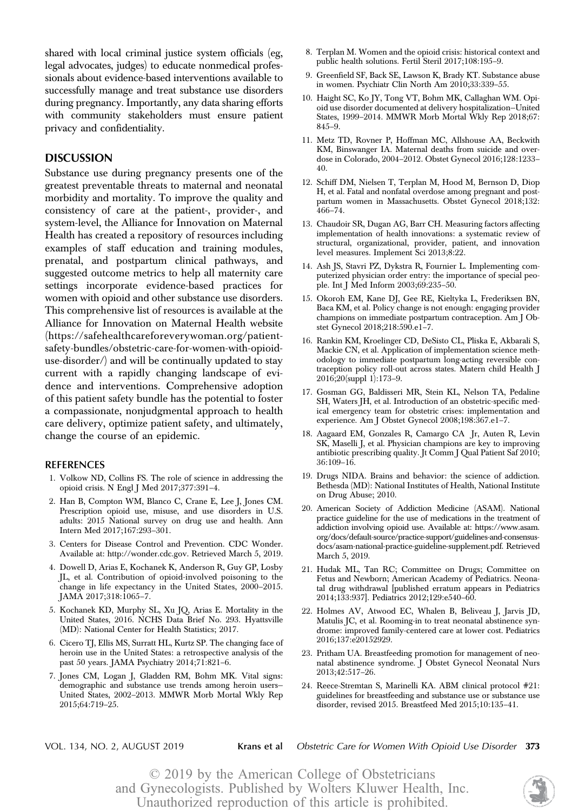shared with local criminal justice system officials (eg, legal advocates, judges) to educate nonmedical professionals about evidence-based interventions available to successfully manage and treat substance use disorders during pregnancy. Importantly, any data sharing efforts with community stakeholders must ensure patient privacy and confidentiality.

### DISCUSSION

Substance use during pregnancy presents one of the greatest preventable threats to maternal and neonatal morbidity and mortality. To improve the quality and consistency of care at the patient-, provider-, and system-level, the Alliance for Innovation on Maternal Health has created a repository of resources including examples of staff education and training modules, prenatal, and postpartum clinical pathways, and suggested outcome metrics to help all maternity care settings incorporate evidence-based practices for women with opioid and other substance use disorders. This comprehensive list of resources is available at the Alliance for Innovation on Maternal Health website ([https://safehealthcareforeverywoman.org/patient](https://safehealthcareforeverywoman.org/patient-safety-bundles/obstetric-care-for-women-with-opioid-use-disorder/)[safety-bundles/obstetric-care-for-women-with-opioid](https://safehealthcareforeverywoman.org/patient-safety-bundles/obstetric-care-for-women-with-opioid-use-disorder/)[use-disorder/\)](https://safehealthcareforeverywoman.org/patient-safety-bundles/obstetric-care-for-women-with-opioid-use-disorder/) and will be continually updated to stay current with a rapidly changing landscape of evidence and interventions. Comprehensive adoption of this patient safety bundle has the potential to foster a compassionate, nonjudgmental approach to health care delivery, optimize patient safety, and ultimately, change the course of an epidemic.

#### **REFERENCES**

- 1. Volkow ND, Collins FS. The role of science in addressing the opioid crisis. N Engl J Med 2017;377:391–4.
- 2. Han B, Compton WM, Blanco C, Crane E, Lee J, Jones CM. Prescription opioid use, misuse, and use disorders in U.S. adults: 2015 National survey on drug use and health. Ann Intern Med 2017;167:293–301.
- 3. Centers for Disease Control and Prevention. CDC Wonder. Available at:<http://wonder.cdc.gov>. Retrieved March 5, 2019.
- 4. Dowell D, Arias E, Kochanek K, Anderson R, Guy GP, Losby JL, et al. Contribution of opioid-involved poisoning to the change in life expectancy in the United States, 2000–2015. JAMA 2017;318:1065–7.
- 5. Kochanek KD, Murphy SL, Xu JQ, Arias E. Mortality in the United States, 2016. NCHS Data Brief No. 293. Hyattsville (MD): National Center for Health Statistics; 2017.
- 6. Cicero TJ, Ellis MS, Surratt HL, Kurtz SP. The changing face of heroin use in the United States: a retrospective analysis of the past 50 years. JAMA Psychiatry 2014;71:821–6.
- 7. Jones CM, Logan J, Gladden RM, Bohm MK. Vital signs: demographic and substance use trends among heroin users— United States, 2002–2013. MMWR Morb Mortal Wkly Rep 2015;64:719–25.
- 8. Terplan M. Women and the opioid crisis: historical context and public health solutions. Fertil Steril 2017;108:195–9.
- 9. Greenfield SF, Back SE, Lawson K, Brady KT. Substance abuse in women. Psychiatr Clin North Am 2010;33:339–55.
- 10. Haight SC, Ko JY, Tong VT, Bohm MK, Callaghan WM. Opioid use disorder documented at delivery hospitalization—United States, 1999–2014. MMWR Morb Mortal Wkly Rep 2018;67: 845–9.
- 11. Metz TD, Rovner P, Hoffman MC, Allshouse AA, Beckwith KM, Binswanger IA. Maternal deaths from suicide and overdose in Colorado, 2004–2012. Obstet Gynecol 2016;128:1233– 40.
- 12. Schiff DM, Nielsen T, Terplan M, Hood M, Bernson D, Diop H, et al. Fatal and nonfatal overdose among pregnant and postpartum women in Massachusetts. Obstet Gynecol 2018;132: 466–74.
- 13. Chaudoir SR, Dugan AG, Barr CH. Measuring factors affecting implementation of health innovations: a systematic review of structural, organizational, provider, patient, and innovation level measures. Implement Sci 2013;8:22.
- 14. Ash JS, Stavri PZ, Dykstra R, Fournier L. Implementing computerized physician order entry: the importance of special people. Int J Med Inform 2003;69:235–50.
- 15. Okoroh EM, Kane DJ, Gee RE, Kieltyka L, Frederiksen BN, Baca KM, et al. Policy change is not enough: engaging provider champions on immediate postpartum contraception. Am J Obstet Gynecol 2018;218:590.e1–7.
- 16. Rankin KM, Kroelinger CD, DeSisto CL, Pliska E, Akbarali S, Mackie CN, et al. Application of implementation science methodology to immediate postpartum long-acting reversible contraception policy roll-out across states. Matern child Health J 2016;20(suppl 1):173–9.
- 17. Gosman GG, Baldisseri MR, Stein KL, Nelson TA, Pedaline SH, Waters JH, et al. Introduction of an obstetric-specific medical emergency team for obstetric crises: implementation and experience. Am J Obstet Gynecol 2008;198:367.e1–7.
- 18. Aagaard EM, Gonzales R, Camargo CA Jr, Auten R, Levin SK, Maselli J, et al. Physician champions are key to improving antibiotic prescribing quality. Jt Comm J Qual Patient Saf 2010; 36:109–16.
- 19. Drugs NIDA. Brains and behavior: the science of addiction. Bethesda (MD): National Institutes of Health, National Institute on Drug Abuse; 2010.
- 20. American Society of Addiction Medicine (ASAM). National practice guideline for the use of medications in the treatment of addiction involving opioid use. Available at: [https://www.asam.](https://www.asam.org/docs/default-source/practice-support/guidelines-and-consensus-docs/asam-national-practice-guideline-supplement.pdf) [org/docs/default-source/practice-support/guidelines-and-consensus](https://www.asam.org/docs/default-source/practice-support/guidelines-and-consensus-docs/asam-national-practice-guideline-supplement.pdf)[docs/asam-national-practice-guideline-supplement.pdf.](https://www.asam.org/docs/default-source/practice-support/guidelines-and-consensus-docs/asam-national-practice-guideline-supplement.pdf) Retrieved March 5, 2019.
- 21. Hudak ML, Tan RC; Committee on Drugs; Committee on Fetus and Newborn; American Academy of Pediatrics. Neonatal drug withdrawal [published erratum appears in Pediatrics 2014;133:937]. Pediatrics 2012;129:e540–60.
- 22. Holmes AV, Atwood EC, Whalen B, Beliveau J, Jarvis JD, Matulis JC, et al. Rooming-in to treat neonatal abstinence syndrome: improved family-centered care at lower cost. Pediatrics 2016;137:e20152929.
- 23. Pritham UA. Breastfeeding promotion for management of neonatal abstinence syndrome. J Obstet Gynecol Neonatal Nurs 2013;42:517–26.
- 24. Reece-Stremtan S, Marinelli KA. ABM clinical protocol #21: guidelines for breastfeeding and substance use or substance use disorder, revised 2015. Breastfeed Med 2015;10:135–41.

VOL. 134, NO. 2, AUGUST 2019 **Krans et al** Obstetric Care for Women With Opioid Use Disorder 373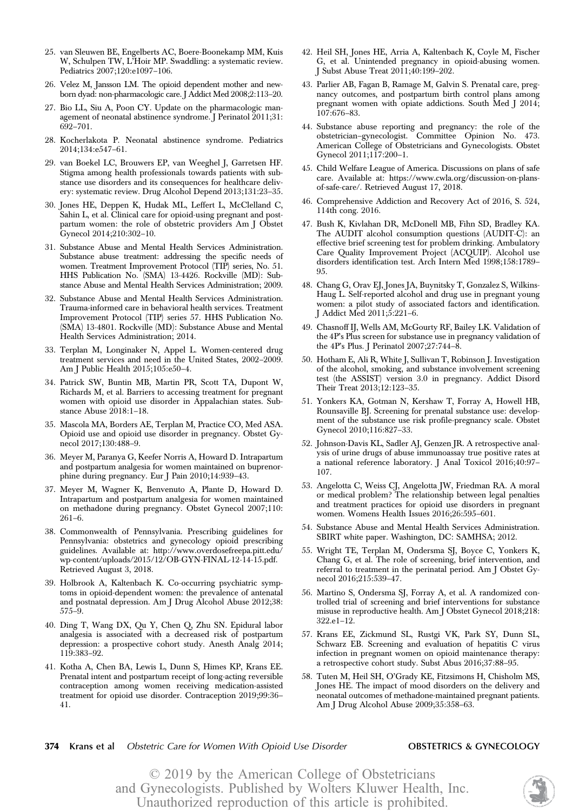- 25. van Sleuwen BE, Engelberts AC, Boere-Boonekamp MM, Kuis W, Schulpen TW, L'Hoir MP. Swaddling: a systematic review. Pediatrics 2007;120:e1097–106.
- 26. Velez M, Jansson LM. The opioid dependent mother and newborn dyad: non-pharmacologic care. J Addict Med 2008;2:113–20.
- 27. Bio LL, Siu A, Poon CY. Update on the pharmacologic management of neonatal abstinence syndrome. J Perinatol 2011;31: 692–701.
- 28. Kocherlakota P. Neonatal abstinence syndrome. Pediatrics 2014;134:e547–61.
- 29. van Boekel LC, Brouwers EP, van Weeghel J, Garretsen HF. Stigma among health professionals towards patients with substance use disorders and its consequences for healthcare delivery: systematic review. Drug Alcohol Depend 2013;131:23–35.
- 30. Jones HE, Deppen K, Hudak ML, Leffert L, McClelland C, Sahin L, et al. Clinical care for opioid-using pregnant and postpartum women: the role of obstetric providers Am J Obstet Gynecol 2014;210:302–10.
- 31. Substance Abuse and Mental Health Services Administration. Substance abuse treatment: addressing the specific needs of women. Treatment Improvement Protocol (TIP) series, No. 51. HHS Publication No. (SMA) 13-4426. Rockville (MD): Substance Abuse and Mental Health Services Administration; 2009.
- 32. Substance Abuse and Mental Health Services Administration. Trauma-informed care in behavioral health services. Treatment Improvement Protocol (TIP) series 57. HHS Publication No. (SMA) 13-4801. Rockville (MD): Substance Abuse and Mental Health Services Administration; 2014.
- 33. Terplan M, Longinaker N, Appel L. Women-centered drug treatment services and need in the United States, 2002–2009. Am J Public Health 2015;105:e50–4.
- 34. Patrick SW, Buntin MB, Martin PR, Scott TA, Dupont W, Richards M, et al. Barriers to accessing treatment for pregnant women with opioid use disorder in Appalachian states. Substance Abuse 2018:1–18.
- 35. Mascola MA, Borders AE, Terplan M, Practice CO, Med ASA. Opioid use and opioid use disorder in pregnancy. Obstet Gynecol 2017;130:488–9.
- 36. Meyer M, Paranya G, Keefer Norris A, Howard D. Intrapartum and postpartum analgesia for women maintained on buprenorphine during pregnancy. Eur J Pain 2010;14:939–43.
- 37. Meyer M, Wagner K, Benvenuto A, Plante D, Howard D. Intrapartum and postpartum analgesia for women maintained on methadone during pregnancy. Obstet Gynecol 2007;110: 261–6.
- 38. Commonwealth of Pennsylvania. Prescribing guidelines for Pennsylvania: obstetrics and gynecology opioid prescribing guidelines. Available at: [http://www.overdosefreepa.pitt.edu/](http://www.overdosefreepa.pitt.edu/wp-content/uploads/2015/12/OB-GYN-FINAL-12-14-15.pdf) [wp-content/uploads/2015/12/OB-GYN-FINAL-12-14-15.pdf](http://www.overdosefreepa.pitt.edu/wp-content/uploads/2015/12/OB-GYN-FINAL-12-14-15.pdf). Retrieved August 3, 2018.
- 39. Holbrook A, Kaltenbach K. Co-occurring psychiatric symptoms in opioid-dependent women: the prevalence of antenatal and postnatal depression. Am J Drug Alcohol Abuse 2012;38: 575–9.
- 40. Ding T, Wang DX, Qu Y, Chen Q, Zhu SN. Epidural labor analgesia is associated with a decreased risk of postpartum depression: a prospective cohort study. Anesth Analg 2014; 119:383–92.
- 41. Kotha A, Chen BA, Lewis L, Dunn S, Himes KP, Krans EE. Prenatal intent and postpartum receipt of long-acting reversible contraception among women receiving medication-assisted treatment for opioid use disorder. Contraception 2019;99:36– 41.
- 42. Heil SH, Jones HE, Arria A, Kaltenbach K, Coyle M, Fischer G, et al. Unintended pregnancy in opioid-abusing women. J Subst Abuse Treat 2011;40:199–202.
- 43. Parlier AB, Fagan B, Ramage M, Galvin S. Prenatal care, pregnancy outcomes, and postpartum birth control plans among pregnant women with opiate addictions. South Med J 2014; 107:676–83.
- 44. Substance abuse reporting and pregnancy: the role of the obstetrician–gynecologist. Committee Opinion No. 473. American College of Obstetricians and Gynecologists. Obstet Gynecol 2011;117:200–1.
- 45. Child Welfare League of America. Discussions on plans of safe care. Available at: [https://www.cwla.org/discussion-on-plans](https://www.cwla.org/discussion-on-plans-of-safe-care/)[of-safe-care/.](https://www.cwla.org/discussion-on-plans-of-safe-care/) Retrieved August 17, 2018.
- 46. Comprehensive Addiction and Recovery Act of 2016, S. 524, 114th cong. 2016.
- 47. Bush K, Kivlahan DR, McDonell MB, Fihn SD, Bradley KA. The AUDIT alcohol consumption questions (AUDIT-C): an effective brief screening test for problem drinking. Ambulatory Care Quality Improvement Project (ACQUIP). Alcohol use disorders identification test. Arch Intern Med 1998;158:1789– 95.
- 48. Chang G, Orav EJ, Jones JA, Buynitsky T, Gonzalez S, Wilkins-Haug L. Self-reported alcohol and drug use in pregnant young women: a pilot study of associated factors and identification. J Addict Med 2011;5:221–6.
- 49. Chasnoff IJ, Wells AM, McGourty RF, Bailey LK. Validation of the 4P's Plus screen for substance use in pregnancy validation of the 4P's Plus. J Perinatol 2007;27:744–8.
- 50. Hotham E, Ali R, White J, Sullivan T, Robinson J. Investigation of the alcohol, smoking, and substance involvement screening test (the ASSIST) version 3.0 in pregnancy. Addict Disord Their Treat 2013;12:123–35.
- 51. Yonkers KA, Gotman N, Kershaw T, Forray A, Howell HB, Rounsaville BJ. Screening for prenatal substance use: development of the substance use risk profile-pregnancy scale. Obstet Gynecol 2010;116:827–33.
- 52. Johnson-Davis KL, Sadler AJ, Genzen JR. A retrospective analysis of urine drugs of abuse immunoassay true positive rates at a national reference laboratory. J Anal Toxicol 2016;40:97– 107.
- 53. Angelotta C, Weiss CJ, Angelotta JW, Friedman RA. A moral or medical problem? The relationship between legal penalties and treatment practices for opioid use disorders in pregnant women. Womens Health Issues 2016;26:595–601.
- 54. Substance Abuse and Mental Health Services Administration. SBIRT white paper. Washington, DC: SAMHSA; 2012.
- 55. Wright TE, Terplan M, Ondersma SJ, Boyce C, Yonkers K, Chang G, et al. The role of screening, brief intervention, and referral to treatment in the perinatal period. Am J Obstet Gynecol 2016;215:539–47.
- 56. Martino S, Ondersma SJ, Forray A, et al. A randomized controlled trial of screening and brief interventions for substance misuse in reproductive health. Am J Obstet Gynecol 2018;218: 322.e1–12.
- 57. Krans EE, Zickmund SL, Rustgi VK, Park SY, Dunn SL, Schwarz EB. Screening and evaluation of hepatitis C virus infection in pregnant women on opioid maintenance therapy: a retrospective cohort study. Subst Abus 2016;37:88–95.
- 58. Tuten M, Heil SH, O'Grady KE, Fitzsimons H, Chisholm MS, Jones HE. The impact of mood disorders on the delivery and neonatal outcomes of methadone-maintained pregnant patients. Am J Drug Alcohol Abuse 2009;35:358–63.
- 374 Krans et al Obstetric Care for Women With Opioid Use Disorder **OBSTETRICS & GYNECOLOGY**